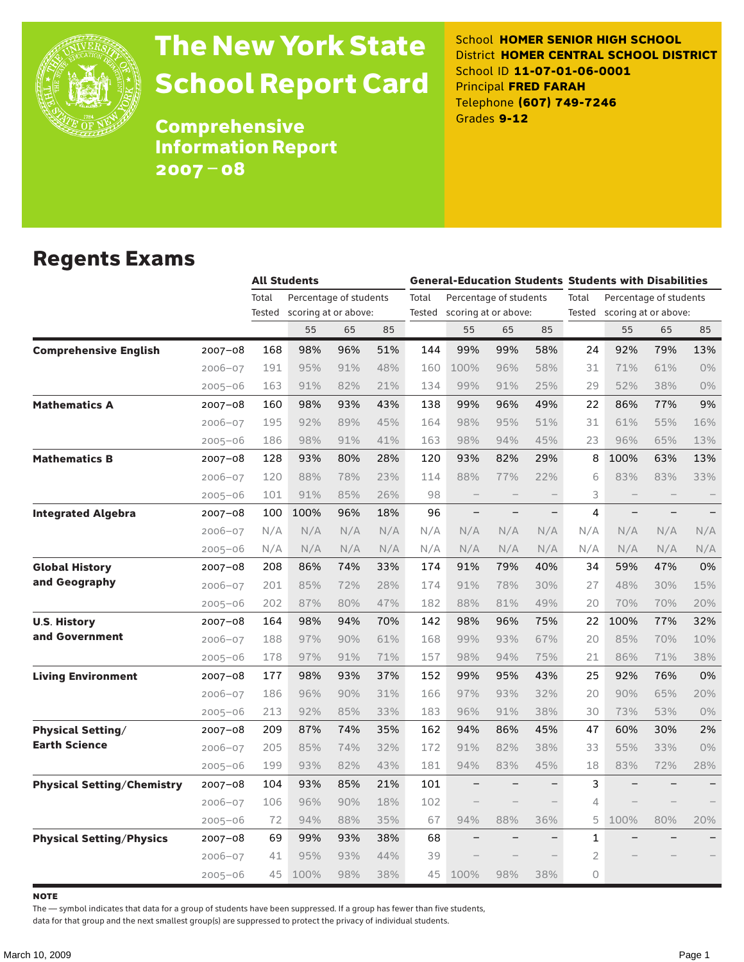

# The New York State School Report Card

School **HOMER SENIOR HIGH SCHOOL** District **HOMER CENTRAL SCHOOL DISTRICT** School ID **11-07-01-06-0001** Principal **FRED FARAH** Telephone **(607) 749-7246** Grades **9-12**

**Comprehensive** Information Report 2007–08

### Regents Exams

|                                   |             | <b>All Students</b> |                        |     |     |       |                             |     |                   | <b>General-Education Students Students with Disabilities</b> |                        |     |     |  |
|-----------------------------------|-------------|---------------------|------------------------|-----|-----|-------|-----------------------------|-----|-------------------|--------------------------------------------------------------|------------------------|-----|-----|--|
|                                   |             | Total               | Percentage of students |     |     | Total | Percentage of students      |     |                   | Total                                                        | Percentage of students |     |     |  |
|                                   |             | Tested              | scoring at or above:   |     |     |       | Tested scoring at or above: |     |                   | Tested                                                       | scoring at or above:   |     |     |  |
|                                   |             |                     | 55                     | 65  | 85  |       | 55                          | 65  | 85                |                                                              | 55                     | 65  | 85  |  |
| <b>Comprehensive English</b>      | 2007-08     | 168                 | 98%                    | 96% | 51% | 144   | 99%                         | 99% | 58%               | 24                                                           | 92%                    | 79% | 13% |  |
|                                   | $2006 - 07$ | 191                 | 95%                    | 91% | 48% | 160   | 100%                        | 96% | 58%               | 31                                                           | 71%                    | 61% | 0%  |  |
|                                   | $2005 - 06$ | 163                 | 91%                    | 82% | 21% | 134   | 99%                         | 91% | 25%               | 29                                                           | 52%                    | 38% | 0%  |  |
| <b>Mathematics A</b>              | 2007-08     | 160                 | 98%                    | 93% | 43% | 138   | 99%                         | 96% | 49%               | 22                                                           | 86%                    | 77% | 9%  |  |
|                                   | $2006 - 07$ | 195                 | 92%                    | 89% | 45% | 164   | 98%                         | 95% | 51%               | 31                                                           | 61%                    | 55% | 16% |  |
|                                   | $2005 - 06$ | 186                 | 98%                    | 91% | 41% | 163   | 98%                         | 94% | 45%               | 23                                                           | 96%                    | 65% | 13% |  |
| <b>Mathematics B</b>              | 2007-08     | 128                 | 93%                    | 80% | 28% | 120   | 93%                         | 82% | 29%               | 8                                                            | 100%                   | 63% | 13% |  |
|                                   | $2006 - 07$ | 120                 | 88%                    | 78% | 23% | 114   | 88%                         | 77% | 22%               | 6                                                            | 83%                    | 83% | 33% |  |
|                                   | $2005 - 06$ | 101                 | 91%                    | 85% | 26% | 98    | $\qquad \qquad -$           |     |                   | 3                                                            |                        |     |     |  |
| <b>Integrated Algebra</b>         | 2007-08     | 100                 | 100%                   | 96% | 18% | 96    |                             |     | $\qquad \qquad -$ | 4                                                            |                        |     |     |  |
|                                   | $2006 - 07$ | N/A                 | N/A                    | N/A | N/A | N/A   | N/A                         | N/A | N/A               | N/A                                                          | N/A                    | N/A | N/A |  |
|                                   | $2005 - 06$ | N/A                 | N/A                    | N/A | N/A | N/A   | N/A                         | N/A | N/A               | N/A                                                          | N/A                    | N/A | N/A |  |
| <b>Global History</b>             | 2007-08     | 208                 | 86%                    | 74% | 33% | 174   | 91%                         | 79% | 40%               | 34                                                           | 59%                    | 47% | 0%  |  |
| and Geography                     | $2006 - 07$ | 201                 | 85%                    | 72% | 28% | 174   | 91%                         | 78% | 30%               | 27                                                           | 48%                    | 30% | 15% |  |
|                                   | $2005 - 06$ | 202                 | 87%                    | 80% | 47% | 182   | 88%                         | 81% | 49%               | 20                                                           | 70%                    | 70% | 20% |  |
| <b>U.S. History</b>               | $2007 - 08$ | 164                 | 98%                    | 94% | 70% | 142   | 98%                         | 96% | 75%               | 22                                                           | 100%                   | 77% | 32% |  |
| and Government                    | $2006 - 07$ | 188                 | 97%                    | 90% | 61% | 168   | 99%                         | 93% | 67%               | 20                                                           | 85%                    | 70% | 10% |  |
|                                   | $2005 - 06$ | 178                 | 97%                    | 91% | 71% | 157   | 98%                         | 94% | 75%               | 21                                                           | 86%                    | 71% | 38% |  |
| <b>Living Environment</b>         | 2007-08     | 177                 | 98%                    | 93% | 37% | 152   | 99%                         | 95% | 43%               | 25                                                           | 92%                    | 76% | 0%  |  |
|                                   | $2006 - 07$ | 186                 | 96%                    | 90% | 31% | 166   | 97%                         | 93% | 32%               | 20                                                           | 90%                    | 65% | 20% |  |
|                                   | $2005 - 06$ | 213                 | 92%                    | 85% | 33% | 183   | 96%                         | 91% | 38%               | 30                                                           | 73%                    | 53% | 0%  |  |
| <b>Physical Setting/</b>          | $2007 - 08$ | 209                 | 87%                    | 74% | 35% | 162   | 94%                         | 86% | 45%               | 47                                                           | 60%                    | 30% | 2%  |  |
| <b>Earth Science</b>              | $2006 - 07$ | 205                 | 85%                    | 74% | 32% | 172   | 91%                         | 82% | 38%               | 33                                                           | 55%                    | 33% | 0%  |  |
|                                   | $2005 - 06$ | 199                 | 93%                    | 82% | 43% | 181   | 94%                         | 83% | 45%               | 18                                                           | 83%                    | 72% | 28% |  |
| <b>Physical Setting/Chemistry</b> | 2007-08     | 104                 | 93%                    | 85% | 21% | 101   |                             |     |                   | 3                                                            |                        |     |     |  |
|                                   | $2006 - 07$ | 106                 | 96%                    | 90% | 18% | 102   |                             |     |                   | 4                                                            |                        |     |     |  |
|                                   | $2005 - 06$ | 72                  | 94%                    | 88% | 35% | 67    | 94%                         | 88% | 36%               | 5                                                            | 100%                   | 80% | 20% |  |
| <b>Physical Setting/Physics</b>   | 2007-08     | 69                  | 99%                    | 93% | 38% | 68    |                             |     |                   | 1                                                            |                        |     |     |  |
|                                   | $2006 - 07$ | 41                  | 95%                    | 93% | 44% | 39    |                             |     |                   | 2                                                            |                        |     |     |  |
|                                   | $2005 - 06$ | 45                  | 100%                   | 98% | 38% | 45    | 100%                        | 98% | 38%               | 0                                                            |                        |     |     |  |

**NOTE** 

The — symbol indicates that data for a group of students have been suppressed. If a group has fewer than five students,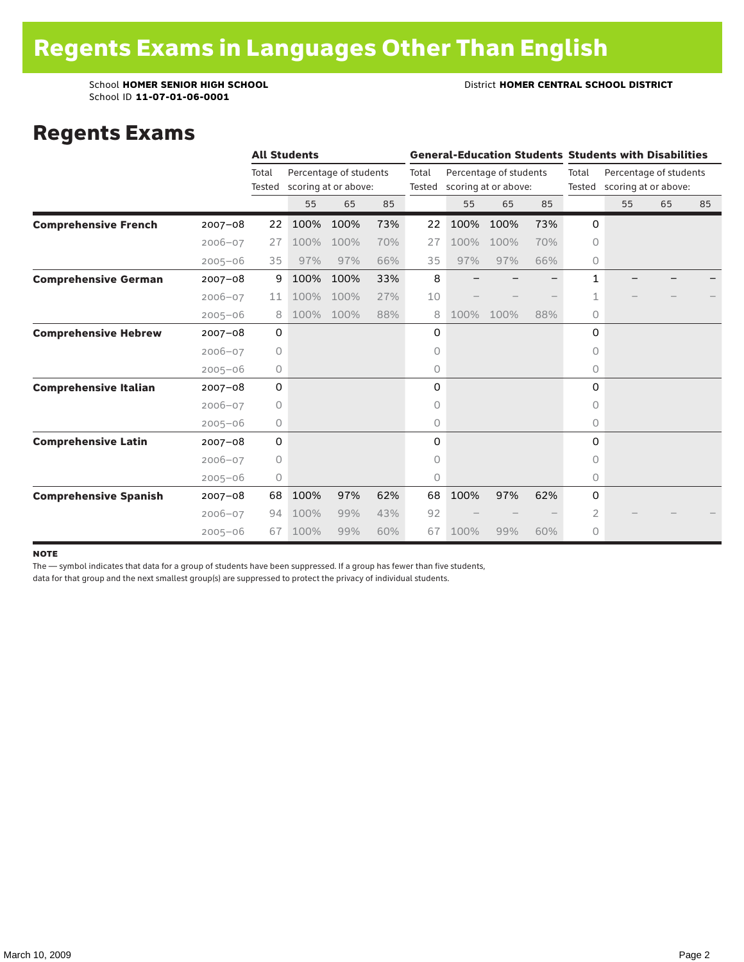School ID **11-07-01-06-0001**

School **HOMER SENIOR HIGH SCHOOL** District **HOMER CENTRAL SCHOOL DISTRICT**

### Regents Exams

|                              |             |                 | <b>All Students</b> |                                                |     |                 |      |                                                |     |                 | <b>General-Education Students Students with Disabilities</b> |    |    |  |
|------------------------------|-------------|-----------------|---------------------|------------------------------------------------|-----|-----------------|------|------------------------------------------------|-----|-----------------|--------------------------------------------------------------|----|----|--|
|                              |             | Total<br>Tested |                     | Percentage of students<br>scoring at or above: |     | Total<br>Tested |      | Percentage of students<br>scoring at or above: |     | Total<br>Tested | Percentage of students<br>scoring at or above:               |    |    |  |
|                              |             |                 | 55                  | 65                                             | 85  |                 | 55   | 65                                             | 85  |                 | 55                                                           | 65 | 85 |  |
| <b>Comprehensive French</b>  | $2007 - 08$ | 22              | 100%                | 100%                                           | 73% | 22              | 100% | 100%                                           | 73% | $\mathbf 0$     |                                                              |    |    |  |
|                              | $2006 - 07$ | 27              | 100%                | 100%                                           | 70% | 27              | 100% | 100%                                           | 70% | 0               |                                                              |    |    |  |
|                              | $2005 - 06$ | 35              | 97%                 | 97%                                            | 66% | 35              | 97%  | 97%                                            | 66% | 0               |                                                              |    |    |  |
| <b>Comprehensive German</b>  | $2007 - 08$ | 9               | 100%                | 100%                                           | 33% | 8               |      |                                                |     | $\mathbf{1}$    |                                                              |    |    |  |
|                              | $2006 - 07$ | 11              | 100%                | 100%                                           | 27% | 10              |      |                                                |     | 1               |                                                              |    |    |  |
|                              | $2005 - 06$ | 8               | 100%                | 100%                                           | 88% | 8               | 100% | 100%                                           | 88% | 0               |                                                              |    |    |  |
| <b>Comprehensive Hebrew</b>  | $2007 - 08$ | 0               |                     |                                                |     | 0               |      |                                                |     | 0               |                                                              |    |    |  |
|                              | $2006 - 07$ | 0               |                     |                                                |     | 0               |      |                                                |     | $\circ$         |                                                              |    |    |  |
|                              | $2005 - 06$ | 0               |                     |                                                |     | 0               |      |                                                |     | 0               |                                                              |    |    |  |
| <b>Comprehensive Italian</b> | $2007 - 08$ | 0               |                     |                                                |     | 0               |      |                                                |     | 0               |                                                              |    |    |  |
|                              | $2006 - 07$ | 0               |                     |                                                |     | 0               |      |                                                |     | $\Omega$        |                                                              |    |    |  |
|                              | $2005 - 06$ | 0               |                     |                                                |     | 0               |      |                                                |     | 0               |                                                              |    |    |  |
| <b>Comprehensive Latin</b>   | $2007 - 08$ | 0               |                     |                                                |     | 0               |      |                                                |     | $\Omega$        |                                                              |    |    |  |
|                              | $2006 - 07$ | 0               |                     |                                                |     | 0               |      |                                                |     | 0               |                                                              |    |    |  |
|                              | $2005 - 06$ | 0               |                     |                                                |     | 0               |      |                                                |     | 0               |                                                              |    |    |  |
| <b>Comprehensive Spanish</b> | $2007 - 08$ | 68              | 100%                | 97%                                            | 62% | 68              | 100% | 97%                                            | 62% | 0               |                                                              |    |    |  |
|                              | $2006 - 07$ | 94              | 100%                | 99%                                            | 43% | 92              |      |                                                |     | 2               |                                                              |    |    |  |
|                              | $2005 - 06$ | 67              | 100%                | 99%                                            | 60% | 67              | 100% | 99%                                            | 60% | 0               |                                                              |    |    |  |

#### note

The — symbol indicates that data for a group of students have been suppressed. If a group has fewer than five students,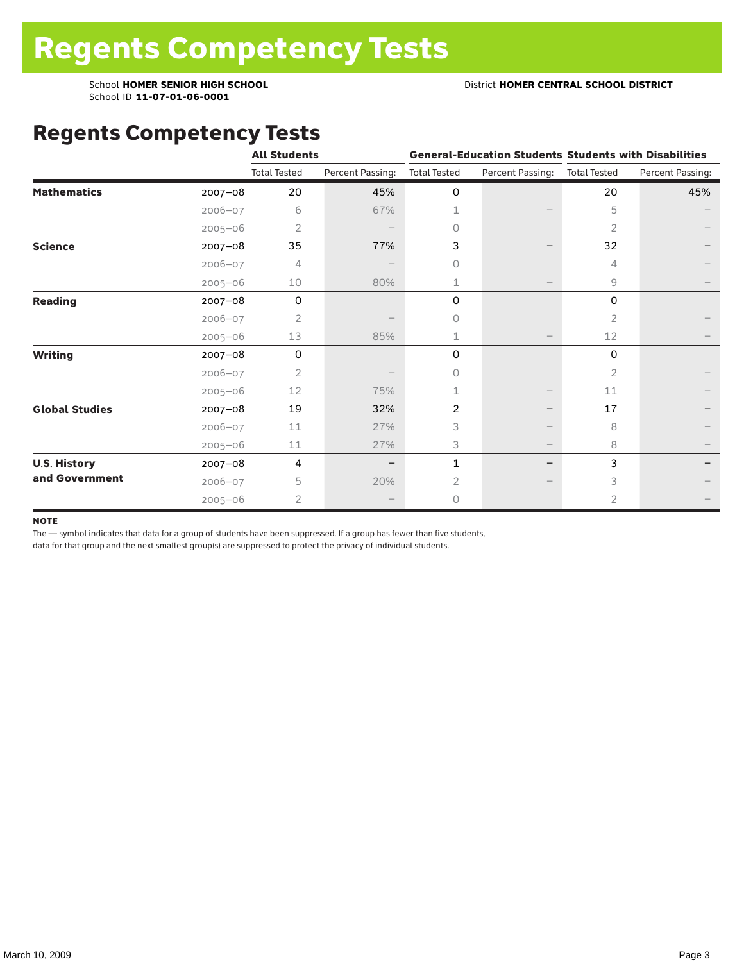School ID **11-07-01-06-0001**

### Regents Competency Tests

|                       |             | <b>All Students</b> |                  |                     | <b>General-Education Students Students with Disabilities</b> |                     |                  |
|-----------------------|-------------|---------------------|------------------|---------------------|--------------------------------------------------------------|---------------------|------------------|
|                       |             | <b>Total Tested</b> | Percent Passing: | <b>Total Tested</b> | Percent Passing:                                             | <b>Total Tested</b> | Percent Passing: |
| <b>Mathematics</b>    | 2007-08     | 20                  | 45%              | 0                   |                                                              | 20                  | 45%              |
|                       | $2006 - 07$ | 6                   | 67%              | 1                   |                                                              | 5                   |                  |
|                       | $2005 - 06$ | 2                   |                  | 0                   |                                                              | 2                   |                  |
| <b>Science</b>        | 2007-08     | 35                  | 77%              | 3                   |                                                              | 32                  |                  |
|                       | 2006-07     | 4                   |                  | 0                   |                                                              | 4                   |                  |
|                       | $2005 - 06$ | 10                  | 80%              | 1                   |                                                              | 9                   |                  |
| Reading               | 2007-08     | 0                   |                  | 0                   |                                                              | 0                   |                  |
|                       | $2006 - 07$ | $\overline{2}$      |                  | 0                   |                                                              | $\overline{2}$      |                  |
|                       | $2005 - 06$ | 13                  | 85%              | 1                   |                                                              | 12                  |                  |
| <b>Writing</b>        | 2007-08     | 0                   |                  | 0                   |                                                              | 0                   |                  |
|                       | $2006 - 07$ | 2                   |                  | $\Omega$            |                                                              | $\overline{2}$      |                  |
|                       | $2005 - 06$ | 12                  | 75%              | 1                   |                                                              | 11                  |                  |
| <b>Global Studies</b> | 2007-08     | 19                  | 32%              | 2                   |                                                              | 17                  |                  |
|                       | $2006 - 07$ | 11                  | 27%              | 3                   |                                                              | 8                   |                  |
|                       | $2005 - 06$ | 11                  | 27%              | 3                   | $\hspace{0.1mm}-\hspace{0.1mm}$                              | 8                   |                  |
| <b>U.S. History</b>   | 2007-08     | 4                   |                  | 1                   |                                                              | 3                   |                  |
| and Government        | 2006-07     | 5                   | 20%              | 2                   |                                                              | 3                   |                  |
|                       | $2005 - 06$ | 2                   |                  | 0                   |                                                              | 2                   |                  |

#### **NOTE**

The — symbol indicates that data for a group of students have been suppressed. If a group has fewer than five students,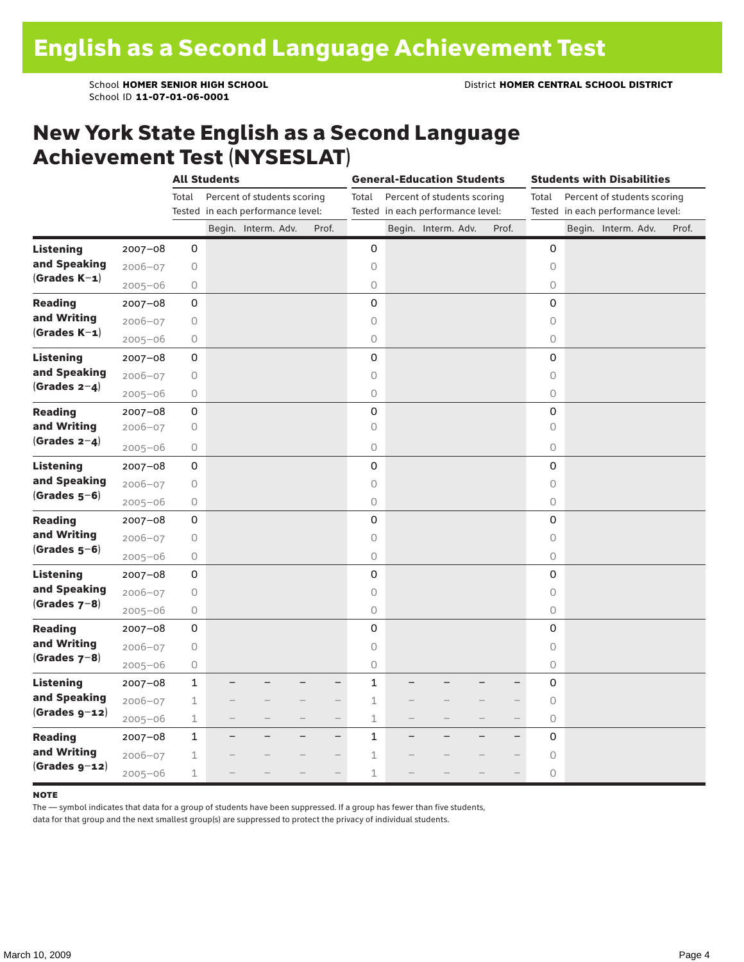### New York State English as a Second Language Achievement Test (NYSESLAT)

|                  |             | <b>All Students</b> |  |                                   |                          | <b>General-Education Students</b> |              |  |                                   |  | <b>Students with Disabilities</b> |                     |  |                                   |  |       |
|------------------|-------------|---------------------|--|-----------------------------------|--------------------------|-----------------------------------|--------------|--|-----------------------------------|--|-----------------------------------|---------------------|--|-----------------------------------|--|-------|
|                  |             | Total               |  | Percent of students scoring       |                          |                                   | Total        |  | Percent of students scoring       |  |                                   | Total               |  | Percent of students scoring       |  |       |
|                  |             |                     |  | Tested in each performance level: |                          |                                   |              |  | Tested in each performance level: |  |                                   |                     |  | Tested in each performance level: |  |       |
|                  |             |                     |  | Begin. Interm. Adv.               |                          | Prof.                             |              |  | Begin. Interm. Adv.               |  | Prof.                             |                     |  | Begin. Interm. Adv.               |  | Prof. |
| <b>Listening</b> | 2007-08     | 0                   |  |                                   |                          |                                   | 0            |  |                                   |  |                                   | 0                   |  |                                   |  |       |
| and Speaking     | $2006 - 07$ | 0                   |  |                                   |                          |                                   | $\circ$      |  |                                   |  |                                   | $\circ$             |  |                                   |  |       |
| $(Grades K-1)$   | $2005 - 06$ | 0                   |  |                                   |                          |                                   | 0            |  |                                   |  |                                   | $\circlearrowright$ |  |                                   |  |       |
| <b>Reading</b>   | $2007 - 08$ | 0                   |  |                                   |                          |                                   | 0            |  |                                   |  |                                   | 0                   |  |                                   |  |       |
| and Writing      | $2006 - 07$ | $\bigcirc$          |  |                                   |                          |                                   | $\bigcirc$   |  |                                   |  |                                   | $\circ$             |  |                                   |  |       |
| $(Grades K-1)$   | $2005 - 06$ | $\bigcirc$          |  |                                   |                          |                                   | $\circ$      |  |                                   |  |                                   | 0                   |  |                                   |  |       |
| <b>Listening</b> | $2007 - 08$ | 0                   |  |                                   |                          |                                   | 0            |  |                                   |  |                                   | $\mathbf 0$         |  |                                   |  |       |
| and Speaking     | $2006 - 07$ | $\bigcirc$          |  |                                   |                          |                                   | $\circ$      |  |                                   |  |                                   | $\circ$             |  |                                   |  |       |
| (Grades $2-4$ )  | $2005 - 06$ | $\bigcirc$          |  |                                   |                          |                                   | $\bigcirc$   |  |                                   |  |                                   | $\circ$             |  |                                   |  |       |
| <b>Reading</b>   | $2007 - 08$ | $\mathsf{O}\xspace$ |  |                                   |                          |                                   | 0            |  |                                   |  |                                   | $\mathsf 0$         |  |                                   |  |       |
| and Writing      | $2006 - 07$ | 0                   |  |                                   |                          |                                   | $\bigcirc$   |  |                                   |  |                                   | $\circ$             |  |                                   |  |       |
| (Grades $2-4$ )  | $2005 - 06$ | 0                   |  |                                   |                          |                                   | 0            |  |                                   |  |                                   | $\circ$             |  |                                   |  |       |
| <b>Listening</b> | $2007 - 08$ | 0                   |  |                                   |                          |                                   | 0            |  |                                   |  |                                   | 0                   |  |                                   |  |       |
| and Speaking     | $2006 - 07$ | 0                   |  |                                   |                          |                                   | $\bigcirc$   |  |                                   |  |                                   | $\circ$             |  |                                   |  |       |
| $(Grades 5-6)$   | $2005 - 06$ | $\bigcirc$          |  |                                   |                          |                                   | $\bigcirc$   |  |                                   |  |                                   | $\circlearrowright$ |  |                                   |  |       |
| <b>Reading</b>   | $2007 - 08$ | 0                   |  |                                   |                          |                                   | 0            |  |                                   |  |                                   | 0                   |  |                                   |  |       |
| and Writing      | $2006 - 07$ | $\bigcirc$          |  |                                   |                          |                                   | $\circ$      |  |                                   |  |                                   | $\circ$             |  |                                   |  |       |
| $(Grades 5-6)$   | $2005 - 06$ | $\bigcirc$          |  |                                   |                          |                                   | $\bigcirc$   |  |                                   |  |                                   | $\circ$             |  |                                   |  |       |
| <b>Listening</b> | $2007 - 08$ | 0                   |  |                                   |                          |                                   | 0            |  |                                   |  |                                   | 0                   |  |                                   |  |       |
| and Speaking     | $2006 - 07$ | $\bigcirc$          |  |                                   |                          |                                   | $\circ$      |  |                                   |  |                                   | $\circ$             |  |                                   |  |       |
| (Grades $7-8$ )  | $2005 - 06$ | $\bigcirc$          |  |                                   |                          |                                   | $\circ$      |  |                                   |  |                                   | $\circ$             |  |                                   |  |       |
| <b>Reading</b>   | $2007 - 08$ | 0                   |  |                                   |                          |                                   | 0            |  |                                   |  |                                   | 0                   |  |                                   |  |       |
| and Writing      | $2006 - 07$ | 0                   |  |                                   |                          |                                   | $\circ$      |  |                                   |  |                                   | $\Omega$            |  |                                   |  |       |
| $(Grades 7-8)$   | $2005 - 06$ | 0                   |  |                                   |                          |                                   | 0            |  |                                   |  |                                   | 0                   |  |                                   |  |       |
| <b>Listening</b> | $2007 - 08$ | 1                   |  |                                   |                          | —                                 | $\mathbf{1}$ |  |                                   |  |                                   | 0                   |  |                                   |  |       |
| and Speaking     | $2006 - 07$ | $\mathbf 1$         |  |                                   |                          | $\qquad \qquad -$                 | $\mathbf 1$  |  |                                   |  |                                   | 0                   |  |                                   |  |       |
| $(Grades g-12)$  | $2005 - 06$ | $\mathbf 1$         |  |                                   | $\overline{\phantom{0}}$ | $\overline{\phantom{0}}$          | $\mathbf 1$  |  |                                   |  | $\overline{\phantom{0}}$          | $\circ$             |  |                                   |  |       |
| <b>Reading</b>   | $2007 - 08$ | $\mathbf{1}$        |  |                                   |                          | $\overline{\phantom{0}}$          | $\mathbf{1}$ |  |                                   |  | $\overline{\phantom{0}}$          | 0                   |  |                                   |  |       |
| and Writing      | $2006 - 07$ | $\mathbf 1$         |  |                                   |                          |                                   | $\mathbf 1$  |  |                                   |  |                                   | $\circ$             |  |                                   |  |       |
| $(Grades g-12)$  | $2005 - 06$ | 1                   |  |                                   |                          |                                   | $\mathbf 1$  |  |                                   |  |                                   | $\circ$             |  |                                   |  |       |

#### **NOTE**

The — symbol indicates that data for a group of students have been suppressed. If a group has fewer than five students,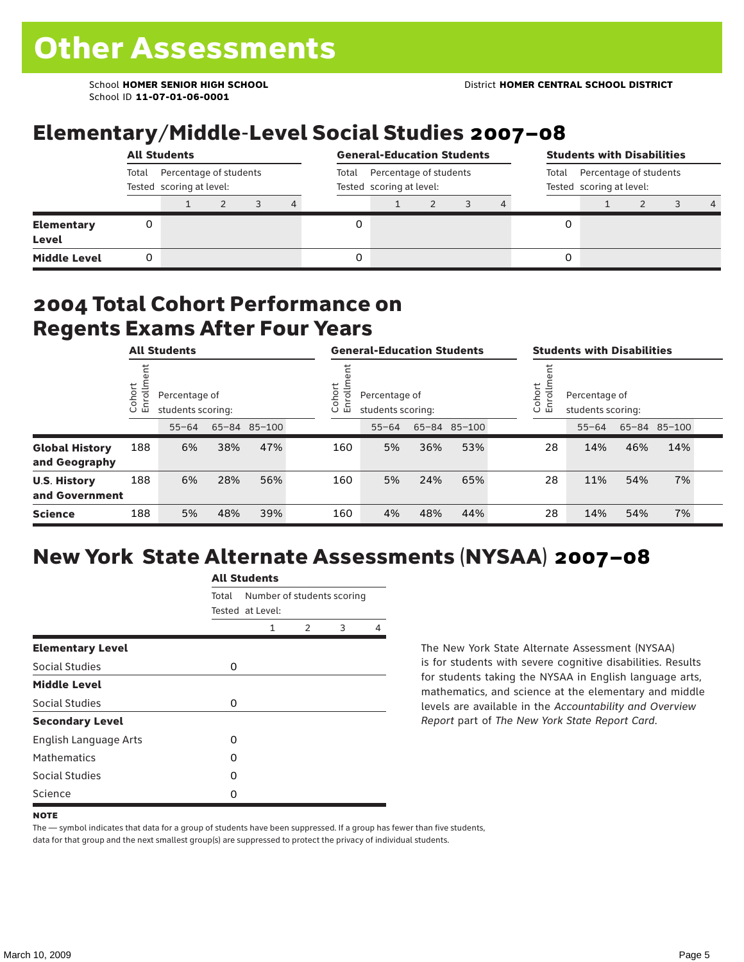School ID **11-07-01-06-0001**

# Elementary/Middle-Level Social Studies 2007–08

|                                   |                                                             | <b>All Students</b> |  |  |       |                                                    | <b>General-Education Students</b> |  |  |  |                                                             | <b>Students with Disabilities</b> |  |  |   |  |  |
|-----------------------------------|-------------------------------------------------------------|---------------------|--|--|-------|----------------------------------------------------|-----------------------------------|--|--|--|-------------------------------------------------------------|-----------------------------------|--|--|---|--|--|
|                                   | Percentage of students<br>Total<br>Tested scoring at level: |                     |  |  | Total | Percentage of students<br>Tested scoring at level: |                                   |  |  |  | Percentage of students<br>Total<br>Tested scoring at level: |                                   |  |  |   |  |  |
|                                   |                                                             |                     |  |  | 4     |                                                    |                                   |  |  |  |                                                             |                                   |  |  | 4 |  |  |
| <b>Elementary</b><br><b>Level</b> | 0                                                           |                     |  |  |       |                                                    |                                   |  |  |  | 0                                                           |                                   |  |  |   |  |  |
| <b>Middle Level</b>               | 0                                                           |                     |  |  |       |                                                    |                                   |  |  |  | 0                                                           |                                   |  |  |   |  |  |

### 2004 Total Cohort Performance on Regents Exams After Four Years

|                                        | <b>All Students</b>     |                                    |     |              |  | <b>General-Education Students</b>                            |           |     |              |                                                        | <b>Students with Disabilities</b> |           |     |              |  |
|----------------------------------------|-------------------------|------------------------------------|-----|--------------|--|--------------------------------------------------------------|-----------|-----|--------------|--------------------------------------------------------|-----------------------------------|-----------|-----|--------------|--|
|                                        | Cohort<br>$\circ$<br>「四 | Percentage of<br>students scoring: |     |              |  | Cohort<br>≣<br>Percentage of<br>ò,<br>모<br>students scoring: |           |     |              | Cohort<br>Percentage of<br>S<br>문<br>students scoring: |                                   |           |     |              |  |
|                                        |                         | $55 - 64$                          |     | 65-84 85-100 |  |                                                              | $55 - 64$ |     | 65-84 85-100 |                                                        |                                   | $55 - 64$ |     | 65-84 85-100 |  |
| <b>Global History</b><br>and Geography | 188                     | 6%                                 | 38% | 47%          |  | 160                                                          | 5%        | 36% | 53%          |                                                        | 28                                | 14%       | 46% | 14%          |  |
| <b>U.S. History</b><br>and Government  | 188                     | 6%                                 | 28% | 56%          |  | 160                                                          | 5%        | 24% | 65%          |                                                        | 28                                | 11%       | 54% | 7%           |  |
| <b>Science</b>                         | 188                     | 5%                                 | 48% | 39%          |  | 160                                                          | 4%        | 48% | 44%          |                                                        | 28                                | 14%       | 54% | 7%           |  |

# New York State Alternate Assessments (NYSAA) 2007–08

|                         | <b>All Students</b> |                                                |               |   |   |  |  |  |  |  |  |
|-------------------------|---------------------|------------------------------------------------|---------------|---|---|--|--|--|--|--|--|
|                         | Total               | Number of students scoring<br>Tested at Level: |               |   |   |  |  |  |  |  |  |
|                         |                     | 1                                              | $\mathcal{P}$ | 3 | 4 |  |  |  |  |  |  |
| <b>Elementary Level</b> |                     |                                                |               |   |   |  |  |  |  |  |  |
| Social Studies          | 0                   |                                                |               |   |   |  |  |  |  |  |  |
| <b>Middle Level</b>     |                     |                                                |               |   |   |  |  |  |  |  |  |
| Social Studies          | O                   |                                                |               |   |   |  |  |  |  |  |  |
| <b>Secondary Level</b>  |                     |                                                |               |   |   |  |  |  |  |  |  |
| English Language Arts   | O                   |                                                |               |   |   |  |  |  |  |  |  |
| <b>Mathematics</b>      | O                   |                                                |               |   |   |  |  |  |  |  |  |
| <b>Social Studies</b>   | O                   |                                                |               |   |   |  |  |  |  |  |  |
| Science                 | O                   |                                                |               |   |   |  |  |  |  |  |  |

The New York State Alternate Assessment (NYSAA) is for students with severe cognitive disabilities. Results for students taking the NYSAA in English language arts, mathematics, and science at the elementary and middle levels are available in the *Accountability and Overview Report* part of *The New York State Report Card*.

The — symbol indicates that data for a group of students have been suppressed. If a group has fewer than five students, data for that group and the next smallest group(s) are suppressed to protect the privacy of individual students.

**NOTE**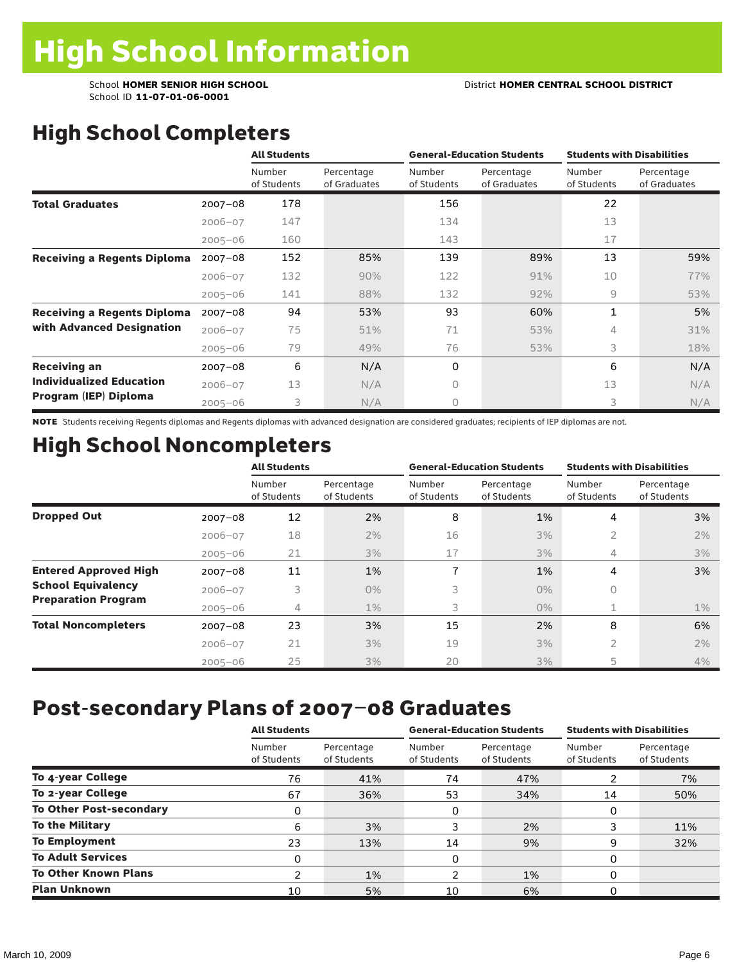School ID **11-07-01-06-0001**

# High School Completers

|                                    |             | <b>All Students</b>   |                            | <b>General-Education Students</b> |                            | <b>Students with Disabilities</b> |                            |  |
|------------------------------------|-------------|-----------------------|----------------------------|-----------------------------------|----------------------------|-----------------------------------|----------------------------|--|
|                                    |             | Number<br>of Students | Percentage<br>of Graduates | Number<br>of Students             | Percentage<br>of Graduates | Number<br>of Students             | Percentage<br>of Graduates |  |
| <b>Total Graduates</b>             | $2007 - 08$ | 178                   |                            | 156                               |                            | 22                                |                            |  |
|                                    | $2006 - 07$ | 147                   |                            | 134                               |                            | 13                                |                            |  |
|                                    | $2005 - 06$ | 160                   |                            | 143                               |                            | 17                                |                            |  |
| <b>Receiving a Regents Diploma</b> | $2007 - 08$ | 152                   | 85%                        | 139                               | 89%                        | 13                                | 59%                        |  |
|                                    | $2006 - 07$ | 132                   | 90%                        | 122                               | 91%                        | 10                                | 77%                        |  |
|                                    | $2005 - 06$ | 141                   | 88%                        | 132                               | 92%                        | 9                                 | 53%                        |  |
| <b>Receiving a Regents Diploma</b> | $2007 - 08$ | 94                    | 53%                        | 93                                | 60%                        | 1                                 | 5%                         |  |
| with Advanced Designation          | $2006 - 07$ | 75                    | 51%                        | 71                                | 53%                        | 4                                 | 31%                        |  |
|                                    | $2005 - 06$ | 79                    | 49%                        | 76                                | 53%                        | 3                                 | 18%                        |  |
| <b>Receiving an</b>                | $2007 - 08$ | 6                     | N/A                        | 0                                 |                            | 6                                 | N/A                        |  |
| <b>Individualized Education</b>    | $2006 - 07$ | 13                    | N/A                        | $\Omega$                          |                            | 13                                | N/A                        |  |
| Program (IEP) Diploma              | $2005 - 06$ | 3                     | N/A                        | $\circ$                           |                            | 3                                 | N/A                        |  |

NOTE Students receiving Regents diplomas and Regents diplomas with advanced designation are considered graduates; recipients of IEP diplomas are not.

## High School Noncompleters

|                              |             | <b>All Students</b>   |                           |                       | <b>General-Education Students</b> | <b>Students with Disabilities</b> |                           |  |
|------------------------------|-------------|-----------------------|---------------------------|-----------------------|-----------------------------------|-----------------------------------|---------------------------|--|
|                              |             | Number<br>of Students | Percentage<br>of Students | Number<br>of Students | Percentage<br>of Students         | Number<br>of Students             | Percentage<br>of Students |  |
| <b>Dropped Out</b>           | $2007 - 08$ | 12                    | 2%                        | 8                     | 1%                                | 4                                 | 3%                        |  |
|                              | $2006 - 07$ | 18                    | 2%                        | 16                    | 3%                                | 2                                 | 2%                        |  |
|                              | $2005 - 06$ | 21                    | 3%                        | 17                    | 3%                                | 4                                 | 3%                        |  |
| <b>Entered Approved High</b> | $2007 - 08$ | 11                    | 1%                        | 7                     | 1%                                | 4                                 | 3%                        |  |
| <b>School Equivalency</b>    | $2006 - 07$ | 3                     | $0\%$                     | 3                     | $0\%$                             | 0                                 |                           |  |
| <b>Preparation Program</b>   | $2005 - 06$ | 4                     | $1\%$                     | 3                     | $0\%$                             | $\mathbf 1$                       | $1\%$                     |  |
| <b>Total Noncompleters</b>   | $2007 - 08$ | 23                    | 3%                        | 15                    | 2%                                | 8                                 | 6%                        |  |
|                              | $2006 - 07$ | 21                    | 3%                        | 19                    | 3%                                | 2                                 | 2%                        |  |
|                              | $2005 - 06$ | 25                    | 3%                        | 20                    | 3%                                | 5                                 | 4%                        |  |

## Post-secondary Plans of 2007–08 Graduates

|                                | <b>All Students</b>   |                           |                       | <b>General-Education Students</b> | <b>Students with Disabilities</b> |                           |  |
|--------------------------------|-----------------------|---------------------------|-----------------------|-----------------------------------|-----------------------------------|---------------------------|--|
|                                | Number<br>of Students | Percentage<br>of Students | Number<br>of Students | Percentage<br>of Students         | Number<br>of Students             | Percentage<br>of Students |  |
| To 4-year College              | 76                    | 41%                       | 74                    | 47%                               | ຳ                                 | 7%                        |  |
| To 2-year College              | 67                    | 36%                       | 53                    | 34%                               | 14                                | 50%                       |  |
| <b>To Other Post-secondary</b> | 0                     |                           | 0                     |                                   | 0                                 |                           |  |
| <b>To the Military</b>         | 6                     | 3%                        | 3                     | 2%                                |                                   | 11%                       |  |
| <b>To Employment</b>           | 23                    | 13%                       | 14                    | 9%                                | 9                                 | 32%                       |  |
| <b>To Adult Services</b>       | 0                     |                           | 0                     |                                   | 0                                 |                           |  |
| <b>To Other Known Plans</b>    | າ                     | 1%                        | າ                     | 1%                                | 0                                 |                           |  |
| <b>Plan Unknown</b>            | 10                    | 5%                        | 10                    | 6%                                | 0                                 |                           |  |